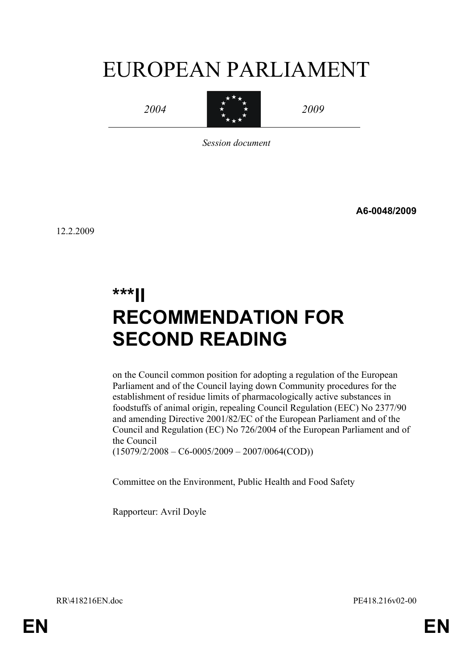# EUROPEAN PARLIAMENT



 $\star$  2009 2009

*Session document*

**A6-0048/2009**

12.2.2009

# **\*\*\*II RECOMMENDATION FOR SECOND READING**

on the Council common position for adopting a regulation of the European Parliament and of the Council laying down Community procedures for the establishment of residue limits of pharmacologically active substances in foodstuffs of animal origin, repealing Council Regulation (EEC) No 2377/90 and amending Directive 2001/82/EC of the European Parliament and of the Council and Regulation (EC) No 726/2004 of the European Parliament and of the Council

 $(15079/2/2008 - C6 - 0005/2009 - 2007/0064(COD))$ 

Committee on the Environment, Public Health and Food Safety

Rapporteur: Avril Doyle

RR\418216EN.doc PE418.216v02-00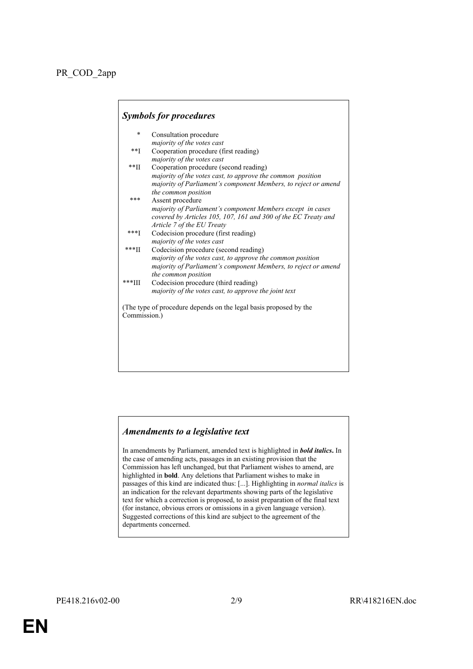| <b>Symbols for procedures</b> |                                                                   |  |
|-------------------------------|-------------------------------------------------------------------|--|
| $\ast$                        | Consultation procedure                                            |  |
|                               | majority of the votes cast                                        |  |
| **T                           | Cooperation procedure (first reading)                             |  |
|                               | majority of the votes cast                                        |  |
| **II                          | Cooperation procedure (second reading)                            |  |
|                               | majority of the votes cast, to approve the common position        |  |
|                               | majority of Parliament's component Members, to reject or amend    |  |
|                               | the common position                                               |  |
| ***                           | Assent procedure                                                  |  |
|                               | majority of Parliament's component Members except in cases        |  |
|                               | covered by Articles 105, 107, 161 and 300 of the EC Treaty and    |  |
|                               | Article 7 of the EU Treaty                                        |  |
| ***]                          | Codecision procedure (first reading)                              |  |
|                               | majority of the votes cast                                        |  |
| ***II                         | Codecision procedure (second reading)                             |  |
|                               | majority of the votes cast, to approve the common position        |  |
|                               | majority of Parliament's component Members, to reject or amend    |  |
|                               | the common position                                               |  |
| ***III                        | Codecision procedure (third reading)                              |  |
|                               | majority of the votes cast, to approve the joint text             |  |
|                               | (The type of procedure depends on the legal basis proposed by the |  |
| Commission.)                  |                                                                   |  |
|                               |                                                                   |  |
|                               |                                                                   |  |
|                               |                                                                   |  |
|                               |                                                                   |  |
|                               |                                                                   |  |

#### *Amendments to a legislative text*

In amendments by Parliament, amended text is highlighted in *bold italics***.** In the case of amending acts, passages in an existing provision that the Commission has left unchanged, but that Parliament wishes to amend, are highlighted in **bold**. Any deletions that Parliament wishes to make in passages of this kind are indicated thus: [...]. Highlighting in *normal italics* is an indication for the relevant departments showing parts of the legislative text for which a correction is proposed, to assist preparation of the final text (for instance, obvious errors or omissions in a given language version). Suggested corrections of this kind are subject to the agreement of the departments concerned.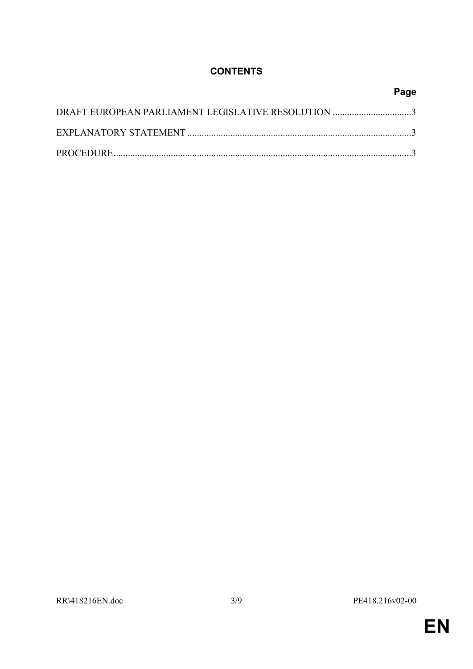## **CONTENTS**

|                                                    | - - - - |
|----------------------------------------------------|---------|
| DRAFT EUROPEAN PARLIAMENT LEGISLATIVE RESOLUTION 3 |         |
|                                                    |         |
|                                                    |         |

## **Page**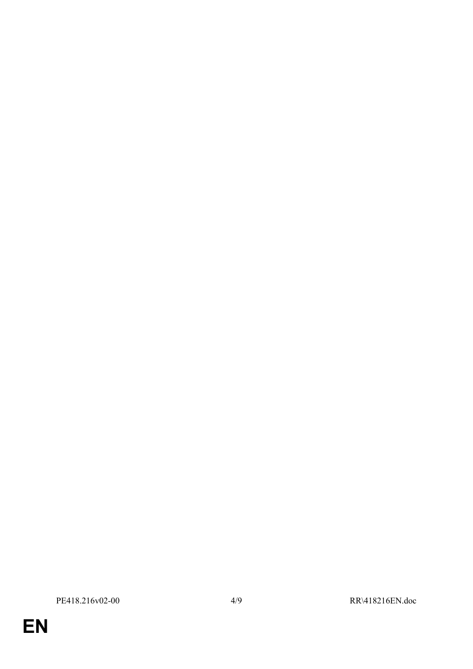PE418.216v02-00 4/9 RR\418216EN.doc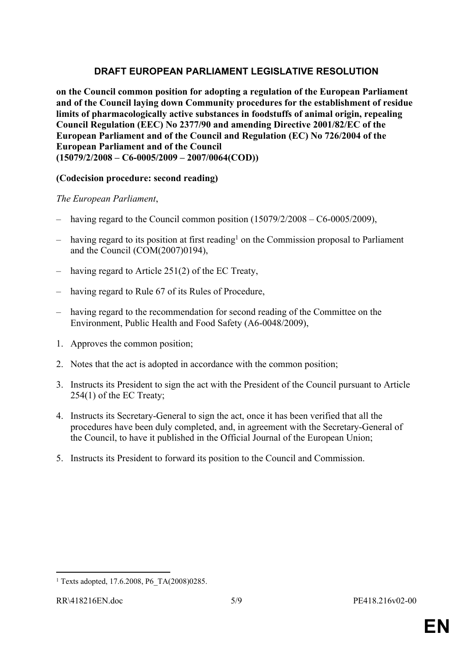# <span id="page-4-0"></span>**DRAFT EUROPEAN PARLIAMENT LEGISLATIVE RESOLUTION**

**on the Council common position for adopting a regulation of the European Parliament and of the Council laying down Community procedures for the establishment of residue limits of pharmacologically active substances in foodstuffs of animal origin, repealing Council Regulation (EEC) No 2377/90 and amending Directive 2001/82/EC of the European Parliament and of the Council and Regulation (EC) No 726/2004 of the European Parliament and of the Council (15079/2/2008 – C6-0005/2009 – 2007/0064(COD))**

#### **(Codecision procedure: second reading)**

#### *The European Parliament*,

- having regard to the Council common position  $(15079/2/2008 C6 0005/2009)$ ,
- having regard to its position at first reading<sup>1</sup> on the Commission proposal to Parliament and the Council (COM(2007)0194),
- having regard to Article 251(2) of the EC Treaty,
- having regard to Rule 67 of its Rules of Procedure,
- having regard to the recommendation for second reading of the Committee on the Environment, Public Health and Food Safety (A6-0048/2009),
- 1. Approves the common position;
- 2. Notes that the act is adopted in accordance with the common position;
- 3. Instructs its President to sign the act with the President of the Council pursuant to Article 254(1) of the EC Treaty;
- 4. Instructs its Secretary-General to sign the act, once it has been verified that all the procedures have been duly completed, and, in agreement with the Secretary-General of the Council, to have it published in the Official Journal of the European Union;
- 5. Instructs its President to forward its position to the Council and Commission.

<sup>1</sup> Texts adopted, 17.6.2008, P6\_TA(2008)0285.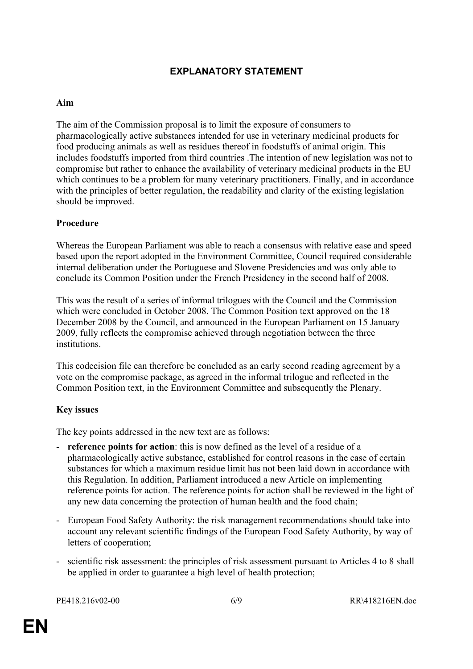# <span id="page-5-0"></span>**EXPLANATORY STATEMENT**

#### **Aim**

The aim of the Commission proposal is to limit the exposure of consumers to pharmacologically active substances intended for use in veterinary medicinal products for food producing animals as well as residues thereof in foodstuffs of animal origin. This includes foodstuffs imported from third countries .The intention of new legislation was not to compromise but rather to enhance the availability of veterinary medicinal products in the EU which continues to be a problem for many veterinary practitioners. Finally, and in accordance with the principles of better regulation, the readability and clarity of the existing legislation should be improved.

#### **Procedure**

Whereas the European Parliament was able to reach a consensus with relative ease and speed based upon the report adopted in the Environment Committee, Council required considerable internal deliberation under the Portuguese and Slovene Presidencies and was only able to conclude its Common Position under the French Presidency in the second half of 2008.

This was the result of a series of informal trilogues with the Council and the Commission which were concluded in October 2008. The Common Position text approved on the 18 December 2008 by the Council, and announced in the European Parliament on 15 January 2009, fully reflects the compromise achieved through negotiation between the three institutions.

This codecision file can therefore be concluded as an early second reading agreement by a vote on the compromise package, as agreed in the informal trilogue and reflected in the Common Position text, in the Environment Committee and subsequently the Plenary.

#### **Key issues**

The key points addressed in the new text are as follows:

- **reference points for action**: this is now defined as the level of a residue of a pharmacologically active substance, established for control reasons in the case of certain substances for which a maximum residue limit has not been laid down in accordance with this Regulation. In addition, Parliament introduced a new Article on implementing reference points for action. The reference points for action shall be reviewed in the light of any new data concerning the protection of human health and the food chain;
- European Food Safety Authority: the risk management recommendations should take into account any relevant scientific findings of the European Food Safety Authority, by way of letters of cooperation;
- scientific risk assessment: the principles of risk assessment pursuant to Articles 4 to 8 shall be applied in order to guarantee a high level of health protection;

PE418.216v02-00 6/9 RR\418216EN.doc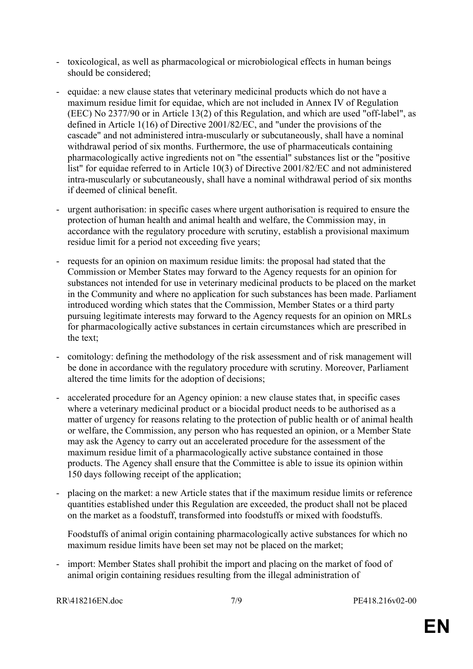- toxicological, as well as pharmacological or microbiological effects in human beings should be considered;
- equidae: a new clause states that veterinary medicinal products which do not have a maximum residue limit for equidae, which are not included in Annex IV of Regulation (EEC) No 2377/90 or in Article 13(2) of this Regulation, and which are used "off-label", as defined in Article 1(16) of Directive 2001/82/EC, and "under the provisions of the cascade" and not administered intra-muscularly or subcutaneously, shall have a nominal withdrawal period of six months. Furthermore, the use of pharmaceuticals containing pharmacologically active ingredients not on "the essential" substances list or the "positive list" for equidae referred to in Article 10(3) of Directive 2001/82/EC and not administered intra-muscularly or subcutaneously, shall have a nominal withdrawal period of six months if deemed of clinical benefit.
- urgent authorisation: in specific cases where urgent authorisation is required to ensure the protection of human health and animal health and welfare, the Commission may, in accordance with the regulatory procedure with scrutiny, establish a provisional maximum residue limit for a period not exceeding five years;
- requests for an opinion on maximum residue limits: the proposal had stated that the Commission or Member States may forward to the Agency requests for an opinion for substances not intended for use in veterinary medicinal products to be placed on the market in the Community and where no application for such substances has been made. Parliament introduced wording which states that the Commission, Member States or a third party pursuing legitimate interests may forward to the Agency requests for an opinion on MRLs for pharmacologically active substances in certain circumstances which are prescribed in the text;
- comitology: defining the methodology of the risk assessment and of risk management will be done in accordance with the regulatory procedure with scrutiny. Moreover, Parliament altered the time limits for the adoption of decisions;
- accelerated procedure for an Agency opinion: a new clause states that, in specific cases where a veterinary medicinal product or a biocidal product needs to be authorised as a matter of urgency for reasons relating to the protection of public health or of animal health or welfare, the Commission, any person who has requested an opinion, or a Member State may ask the Agency to carry out an accelerated procedure for the assessment of the maximum residue limit of a pharmacologically active substance contained in those products. The Agency shall ensure that the Committee is able to issue its opinion within 150 days following receipt of the application;
- placing on the market: a new Article states that if the maximum residue limits or reference quantities established under this Regulation are exceeded, the product shall not be placed on the market as a foodstuff, transformed into foodstuffs or mixed with foodstuffs.

Foodstuffs of animal origin containing pharmacologically active substances for which no maximum residue limits have been set may not be placed on the market;

import: Member States shall prohibit the import and placing on the market of food of animal origin containing residues resulting from the illegal administration of

```
RR\418216EN.doc 7/9 PE418.216v02-00
```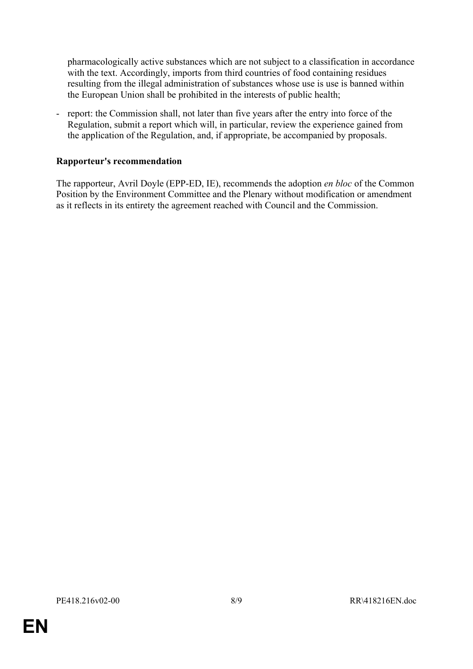pharmacologically active substances which are not subject to a classification in accordance with the text. Accordingly, imports from third countries of food containing residues resulting from the illegal administration of substances whose use is use is banned within the European Union shall be prohibited in the interests of public health;

- report: the Commission shall, not later than five years after the entry into force of the Regulation, submit a report which will, in particular, review the experience gained from the application of the Regulation, and, if appropriate, be accompanied by proposals.

#### **Rapporteur's recommendation**

The rapporteur, Avril Doyle (EPP-ED, IE), recommends the adoption *en bloc* of the Common Position by the Environment Committee and the Plenary without modification or amendment as it reflects in its entirety the agreement reached with Council and the Commission.

**EN**